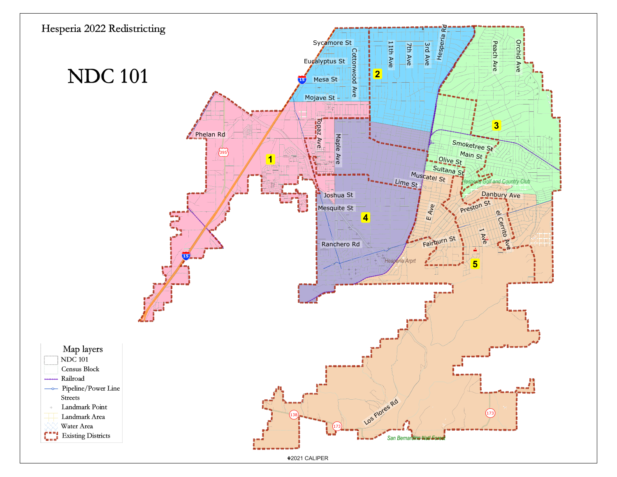